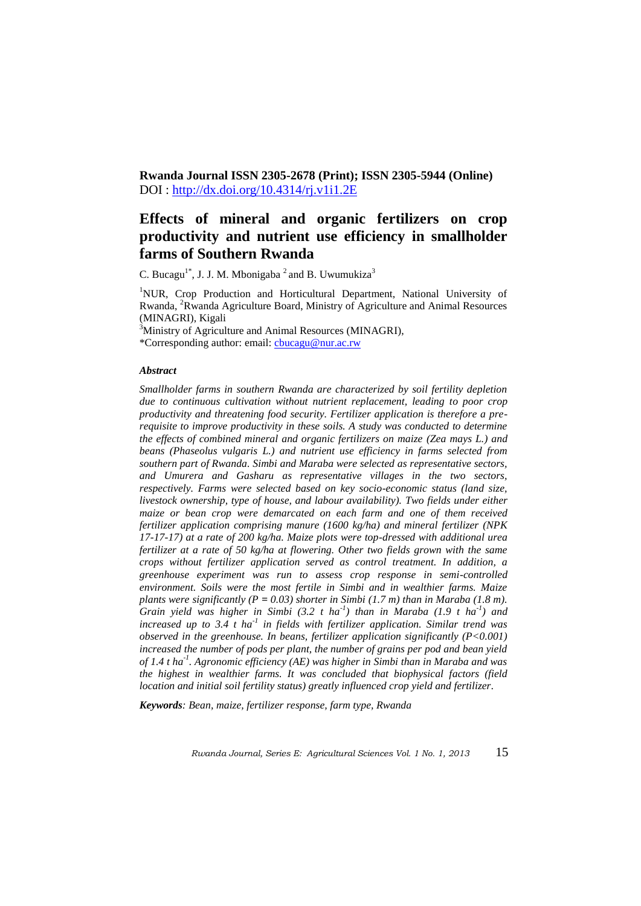**Rwanda Journal ISSN 2305-2678 (Print); ISSN 2305-5944 (Online)**  DOI :<http://dx.doi.org/10.4314/rj.v1i1.2E>

# **Effects of mineral and organic fertilizers on crop productivity and nutrient use efficiency in smallholder farms of Southern Rwanda**

C. Bucagu<sup>1\*</sup>, J. J. M. Mbonigaba<sup>2</sup> and B. Uwumukiza<sup>3</sup>

<sup>1</sup>NUR, Crop Production and Horticultural Department, National University of Rwanda, <sup>2</sup>Rwanda Agriculture Board, Ministry of Agriculture and Animal Resources (MINAGRI), Kigali

<sup>3</sup>Ministry of Agriculture and Animal Resources (MINAGRI),

\*Corresponding author: email: [cbucagu@nur.ac.rw](mailto:cbucagu@nur.ac.rw)

#### *Abstract*

*Smallholder farms in southern Rwanda are characterized by soil fertility depletion due to continuous cultivation without nutrient replacement, leading to poor crop productivity and threatening food security. Fertilizer application is therefore a prerequisite to improve productivity in these soils. A study was conducted to determine the effects of combined mineral and organic fertilizers on maize (Zea mays L.) and beans (Phaseolus vulgaris L.) and nutrient use efficiency in farms selected from southern part of Rwanda. Simbi and Maraba were selected as representative sectors, and Umurera and Gasharu as representative villages in the two sectors, respectively. Farms were selected based on key socio-economic status (land size, livestock ownership, type of house, and labour availability). Two fields under either maize or bean crop were demarcated on each farm and one of them received fertilizer application comprising manure (1600 kg/ha) and mineral fertilizer (NPK 17-17-17) at a rate of 200 kg/ha. Maize plots were top-dressed with additional urea fertilizer at a rate of 50 kg/ha at flowering. Other two fields grown with the same crops without fertilizer application served as control treatment. In addition, a greenhouse experiment was run to assess crop response in semi-controlled environment. Soils were the most fertile in Simbi and in wealthier farms. Maize plants were significantly (P = 0.03) shorter in Simbi (1.7 m) than in Maraba (1.8 m). Grain yield was higher in Simbi (3.2 t ha-1 ) than in Maraba (1.9 t ha-1 ) and increased up to 3.4 t ha-1 in fields with fertilizer application. Similar trend was observed in the greenhouse. In beans, fertilizer application significantly (P<0.001) increased the number of pods per plant, the number of grains per pod and bean yield of 1.4 t ha-1 . Agronomic efficiency (AE) was higher in Simbi than in Maraba and was the highest in wealthier farms. It was concluded that biophysical factors (field location and initial soil fertility status) greatly influenced crop yield and fertilizer.*

*Keywords: Bean, maize, fertilizer response, farm type, Rwanda*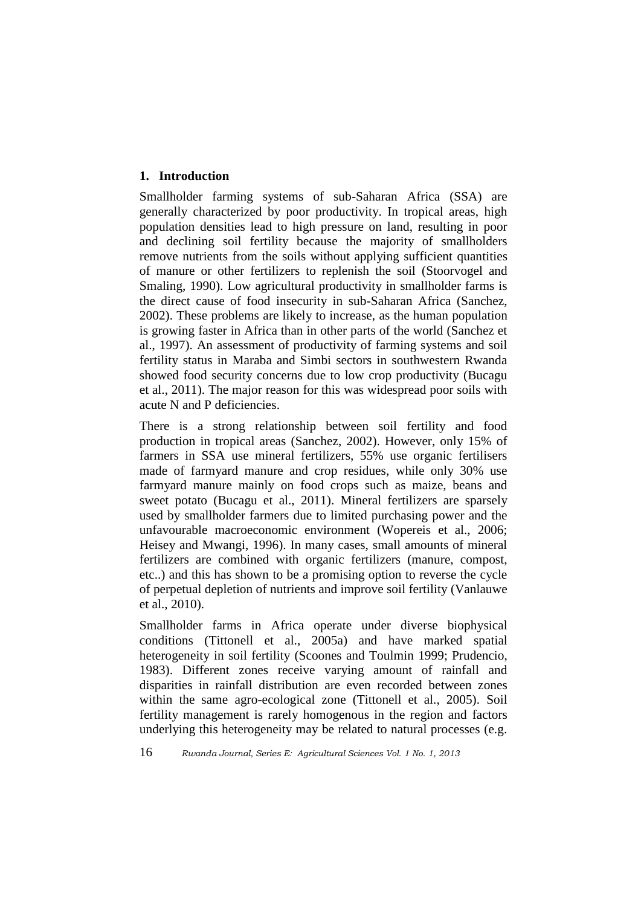# **1. Introduction**

Smallholder farming systems of sub-Saharan Africa (SSA) are generally characterized by poor productivity. In tropical areas, high population densities lead to high pressure on land, resulting in poor and declining soil fertility because the majority of smallholders remove nutrients from the soils without applying sufficient quantities of manure or other fertilizers to replenish the soil (Stoorvogel and Smaling, 1990). Low agricultural productivity in smallholder farms is the direct cause of food insecurity in sub-Saharan Africa (Sanchez, 2002). These problems are likely to increase, as the human population is growing faster in Africa than in other parts of the world (Sanchez et al., 1997). An assessment of productivity of farming systems and soil fertility status in Maraba and Simbi sectors in southwestern Rwanda showed food security concerns due to low crop productivity (Bucagu et al., 2011). The major reason for this was widespread poor soils with acute N and P deficiencies.

There is a strong relationship between soil fertility and food production in tropical areas (Sanchez, 2002). However, only 15% of farmers in SSA use mineral fertilizers, 55% use organic fertilisers made of farmyard manure and crop residues, while only 30% use farmyard manure mainly on food crops such as maize, beans and sweet potato (Bucagu et al., 2011). Mineral fertilizers are sparsely used by smallholder farmers due to limited purchasing power and the unfavourable macroeconomic environment (Wopereis et al., 2006; Heisey and Mwangi, 1996). In many cases, small amounts of mineral fertilizers are combined with organic fertilizers (manure, compost, etc..) and this has shown to be a promising option to reverse the cycle of perpetual depletion of nutrients and improve soil fertility (Vanlauwe et al., 2010).

Smallholder farms in Africa operate under diverse biophysical conditions (Tittonell et al., 2005a) and have marked spatial heterogeneity in soil fertility (Scoones and Toulmin 1999; Prudencio, 1983). Different zones receive varying amount of rainfall and disparities in rainfall distribution are even recorded between zones within the same agro-ecological zone (Tittonell et al., 2005). Soil fertility management is rarely homogenous in the region and factors underlying this heterogeneity may be related to natural processes (e.g.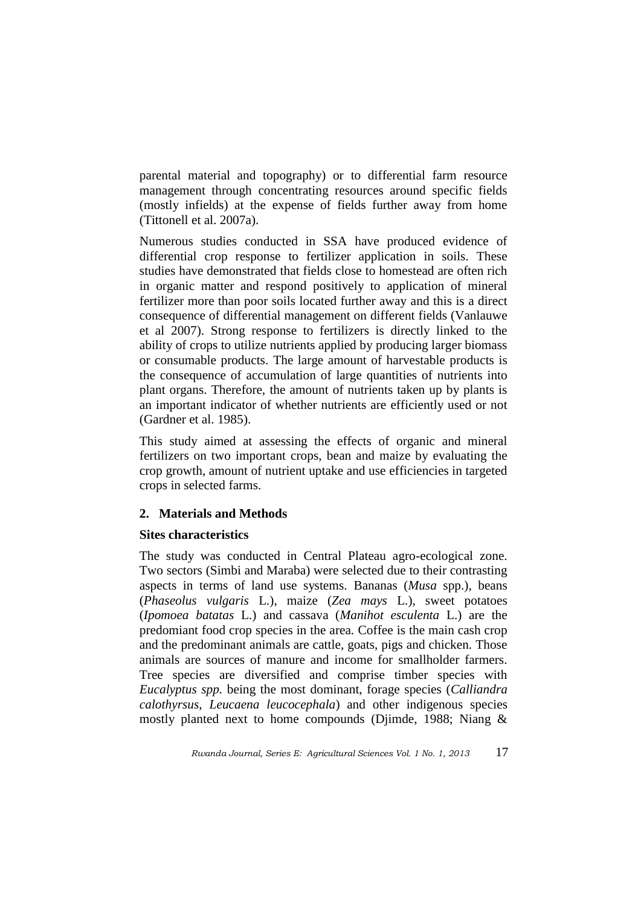parental material and topography) or to differential farm resource management through concentrating resources around specific fields (mostly infields) at the expense of fields further away from home (Tittonell et al. 2007a).

Numerous studies conducted in SSA have produced evidence of differential crop response to fertilizer application in soils. These studies have demonstrated that fields close to homestead are often rich in organic matter and respond positively to application of mineral fertilizer more than poor soils located further away and this is a direct consequence of differential management on different fields (Vanlauwe et al 2007). Strong response to fertilizers is directly linked to the ability of crops to utilize nutrients applied by producing larger biomass or consumable products. The large amount of harvestable products is the consequence of accumulation of large quantities of nutrients into plant organs. Therefore, the amount of nutrients taken up by plants is an important indicator of whether nutrients are efficiently used or not (Gardner et al. 1985).

This study aimed at assessing the effects of organic and mineral fertilizers on two important crops, bean and maize by evaluating the crop growth, amount of nutrient uptake and use efficiencies in targeted crops in selected farms.

# **2. Materials and Methods**

# **Sites characteristics**

The study was conducted in Central Plateau agro-ecological zone. Two sectors (Simbi and Maraba) were selected due to their contrasting aspects in terms of land use systems. Bananas (*Musa* spp.), beans (*Phaseolus vulgaris* L.), maize (*Zea mays* L.), sweet potatoes (*Ipomoea batatas* L.) and cassava (*Manihot esculenta* L.) are the predomiant food crop species in the area. Coffee is the main cash crop and the predominant animals are cattle, goats, pigs and chicken. Those animals are sources of manure and income for smallholder farmers. Tree species are diversified and comprise timber species with *Eucalyptus spp.* being the most dominant, forage species (*Calliandra calothyrsus*, *Leucaena leucocephala*) and other indigenous species mostly planted next to home compounds (Djimde, 1988; Niang &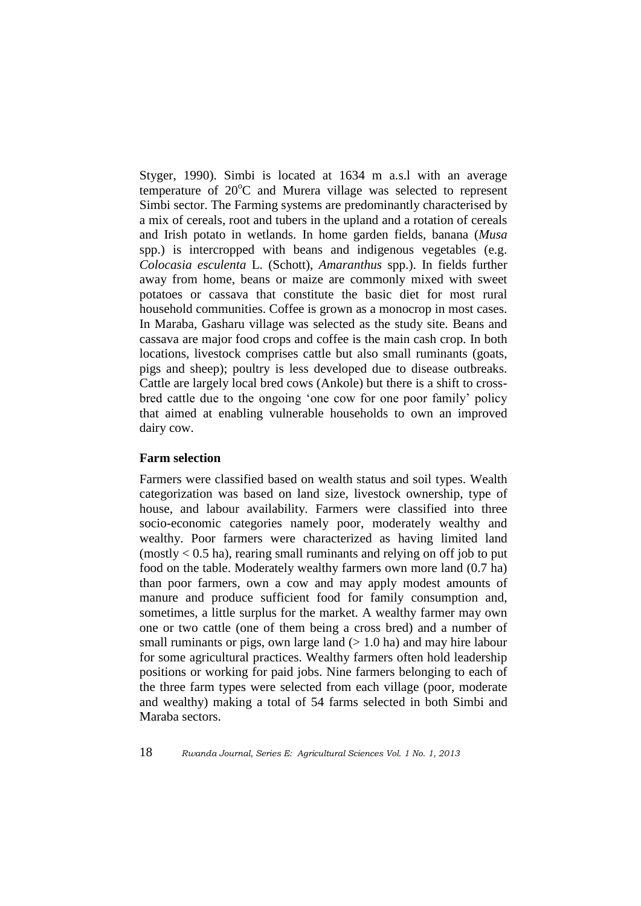Styger, 1990). Simbi is located at 1634 m a.s.l with an average temperature of 20°C and Murera village was selected to represent Simbi sector. The Farming systems are predominantly characterised by a mix of cereals, root and tubers in the upland and a rotation of cereals and Irish potato in wetlands. In home garden fields, banana (*Musa* spp.) is intercropped with beans and indigenous vegetables (e.g. *Colocasia esculenta* L. (Schott), *Amaranthus* spp.). In fields further away from home, beans or maize are commonly mixed with sweet potatoes or cassava that constitute the basic diet for most rural household communities. Coffee is grown as a monocrop in most cases. In Maraba, Gasharu village was selected as the study site. Beans and cassava are major food crops and coffee is the main cash crop. In both locations, livestock comprises cattle but also small ruminants (goats, pigs and sheep); poultry is less developed due to disease outbreaks. Cattle are largely local bred cows (Ankole) but there is a shift to crossbred cattle due to the ongoing "one cow for one poor family" policy that aimed at enabling vulnerable households to own an improved dairy cow.

### **Farm selection**

Farmers were classified based on wealth status and soil types. Wealth categorization was based on land size, livestock ownership, type of house, and labour availability. Farmers were classified into three socio-economic categories namely poor, moderately wealthy and wealthy. Poor farmers were characterized as having limited land  $(mostly < 0.5$  ha), rearing small ruminants and relying on off job to put food on the table. Moderately wealthy farmers own more land (0.7 ha) than poor farmers, own a cow and may apply modest amounts of manure and produce sufficient food for family consumption and, sometimes, a little surplus for the market. A wealthy farmer may own one or two cattle (one of them being a cross bred) and a number of small ruminants or pigs, own large land  $(> 1.0$  ha) and may hire labour for some agricultural practices. Wealthy farmers often hold leadership positions or working for paid jobs. Nine farmers belonging to each of the three farm types were selected from each village (poor, moderate and wealthy) making a total of 54 farms selected in both Simbi and Maraba sectors.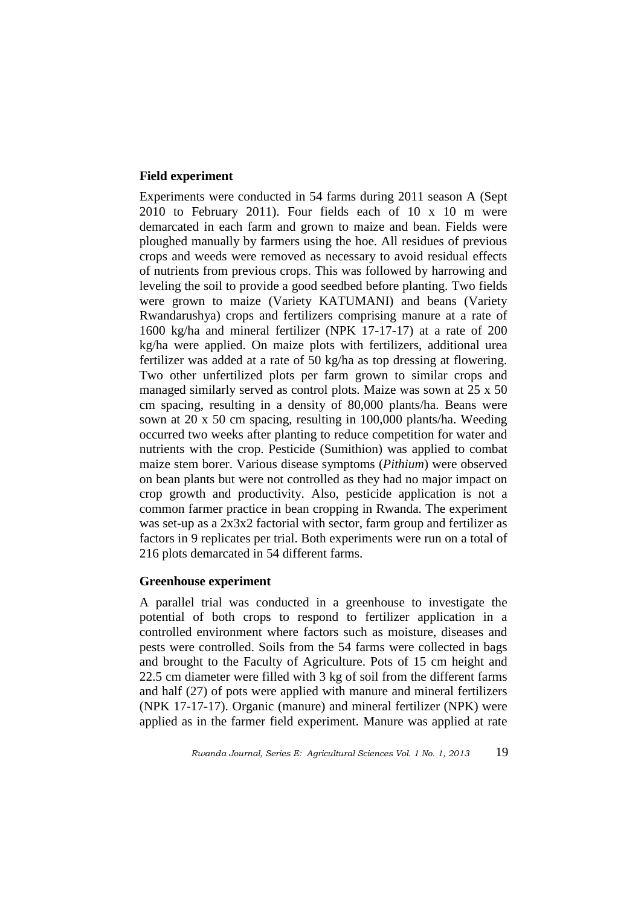### **Field experiment**

Experiments were conducted in 54 farms during 2011 season A (Sept 2010 to February 2011). Four fields each of 10 x 10 m were demarcated in each farm and grown to maize and bean. Fields were ploughed manually by farmers using the hoe. All residues of previous crops and weeds were removed as necessary to avoid residual effects of nutrients from previous crops. This was followed by harrowing and leveling the soil to provide a good seedbed before planting. Two fields were grown to maize (Variety KATUMANI) and beans (Variety Rwandarushya) crops and fertilizers comprising manure at a rate of 1600 kg/ha and mineral fertilizer (NPK 17-17-17) at a rate of 200 kg/ha were applied. On maize plots with fertilizers, additional urea fertilizer was added at a rate of 50 kg/ha as top dressing at flowering. Two other unfertilized plots per farm grown to similar crops and managed similarly served as control plots. Maize was sown at 25 x 50 cm spacing, resulting in a density of 80,000 plants/ha. Beans were sown at 20 x 50 cm spacing, resulting in 100,000 plants/ha. Weeding occurred two weeks after planting to reduce competition for water and nutrients with the crop. Pesticide (Sumithion) was applied to combat maize stem borer. Various disease symptoms (*Pithium*) were observed on bean plants but were not controlled as they had no major impact on crop growth and productivity. Also, pesticide application is not a common farmer practice in bean cropping in Rwanda. The experiment was set-up as a 2x3x2 factorial with sector, farm group and fertilizer as factors in 9 replicates per trial. Both experiments were run on a total of 216 plots demarcated in 54 different farms.

### **Greenhouse experiment**

A parallel trial was conducted in a greenhouse to investigate the potential of both crops to respond to fertilizer application in a controlled environment where factors such as moisture, diseases and pests were controlled. Soils from the 54 farms were collected in bags and brought to the Faculty of Agriculture. Pots of 15 cm height and 22.5 cm diameter were filled with 3 kg of soil from the different farms and half (27) of pots were applied with manure and mineral fertilizers (NPK 17-17-17). Organic (manure) and mineral fertilizer (NPK) were applied as in the farmer field experiment. Manure was applied at rate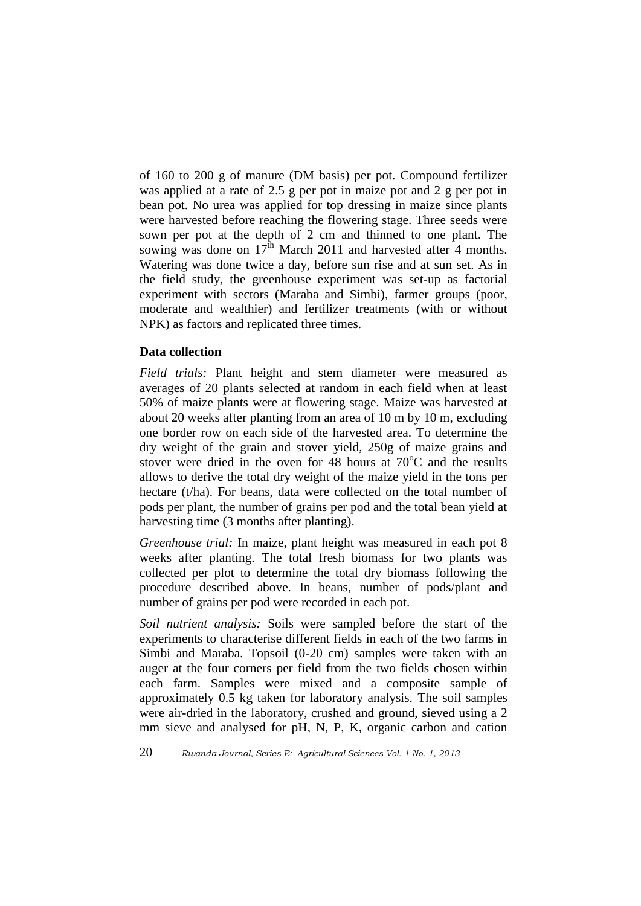of 160 to 200 g of manure (DM basis) per pot. Compound fertilizer was applied at a rate of 2.5 g per pot in maize pot and 2 g per pot in bean pot. No urea was applied for top dressing in maize since plants were harvested before reaching the flowering stage. Three seeds were sown per pot at the depth of 2 cm and thinned to one plant. The sowing was done on  $17^{\text{th}}$  March 2011 and harvested after 4 months. Watering was done twice a day, before sun rise and at sun set. As in the field study, the greenhouse experiment was set-up as factorial experiment with sectors (Maraba and Simbi), farmer groups (poor, moderate and wealthier) and fertilizer treatments (with or without NPK) as factors and replicated three times.

### **Data collection**

*Field trials:* Plant height and stem diameter were measured as averages of 20 plants selected at random in each field when at least 50% of maize plants were at flowering stage. Maize was harvested at about 20 weeks after planting from an area of 10 m by 10 m, excluding one border row on each side of the harvested area. To determine the dry weight of the grain and stover yield, 250g of maize grains and stover were dried in the oven for 48 hours at  $70^{\circ}$ C and the results allows to derive the total dry weight of the maize yield in the tons per hectare (t/ha). For beans, data were collected on the total number of pods per plant, the number of grains per pod and the total bean yield at harvesting time (3 months after planting).

*Greenhouse trial:* In maize, plant height was measured in each pot 8 weeks after planting. The total fresh biomass for two plants was collected per plot to determine the total dry biomass following the procedure described above. In beans, number of pods/plant and number of grains per pod were recorded in each pot.

*Soil nutrient analysis:* Soils were sampled before the start of the experiments to characterise different fields in each of the two farms in Simbi and Maraba. Topsoil (0-20 cm) samples were taken with an auger at the four corners per field from the two fields chosen within each farm. Samples were mixed and a composite sample of approximately 0.5 kg taken for laboratory analysis. The soil samples were air-dried in the laboratory, crushed and ground, sieved using a 2 mm sieve and analysed for pH, N, P, K, organic carbon and cation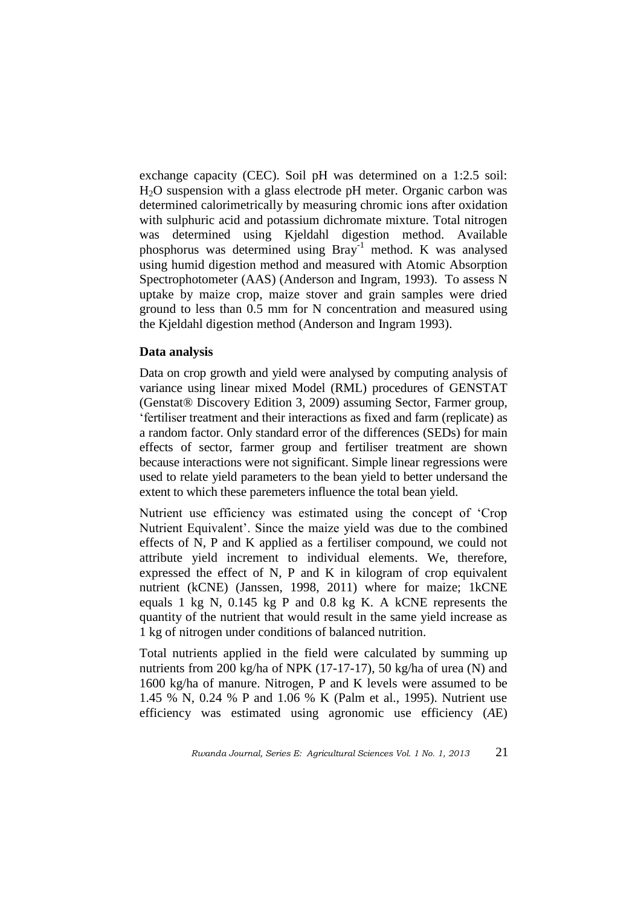exchange capacity (CEC). Soil pH was determined on a 1:2.5 soil: H2O suspension with a glass electrode pH meter. Organic carbon was determined calorimetrically by measuring chromic ions after oxidation with sulphuric acid and potassium dichromate mixture. Total nitrogen was determined using Kjeldahl digestion method. Available phosphorus was determined using Bray-1 method. K was analysed using humid digestion method and measured with Atomic Absorption Spectrophotometer (AAS) (Anderson and Ingram, 1993). To assess N uptake by maize crop, maize stover and grain samples were dried ground to less than 0.5 mm for N concentration and measured using the Kjeldahl digestion method (Anderson and Ingram 1993).

#### **Data analysis**

Data on crop growth and yield were analysed by computing analysis of variance using linear mixed Model (RML) procedures of GENSTAT (Genstat® Discovery Edition 3, 2009) assuming Sector, Farmer group, "fertiliser treatment and their interactions as fixed and farm (replicate) as a random factor. Only standard error of the differences (SEDs) for main effects of sector, farmer group and fertiliser treatment are shown because interactions were not significant. Simple linear regressions were used to relate yield parameters to the bean yield to better undersand the extent to which these paremeters influence the total bean yield.

Nutrient use efficiency was estimated using the concept of "Crop Nutrient Equivalent'. Since the maize yield was due to the combined effects of N, P and K applied as a fertiliser compound, we could not attribute yield increment to individual elements. We, therefore, expressed the effect of N, P and K in kilogram of crop equivalent nutrient (kCNE) (Janssen, 1998, 2011) where for maize; 1kCNE equals 1 kg N, 0.145 kg P and 0.8 kg K. A kCNE represents the quantity of the nutrient that would result in the same yield increase as 1 kg of nitrogen under conditions of balanced nutrition.

Total nutrients applied in the field were calculated by summing up nutrients from 200 kg/ha of NPK (17-17-17), 50 kg/ha of urea (N) and 1600 kg/ha of manure. Nitrogen, P and K levels were assumed to be 1.45 % N, 0.24 % P and 1.06 % K (Palm et al., 1995). Nutrient use efficiency was estimated using agronomic use efficiency (*A*E)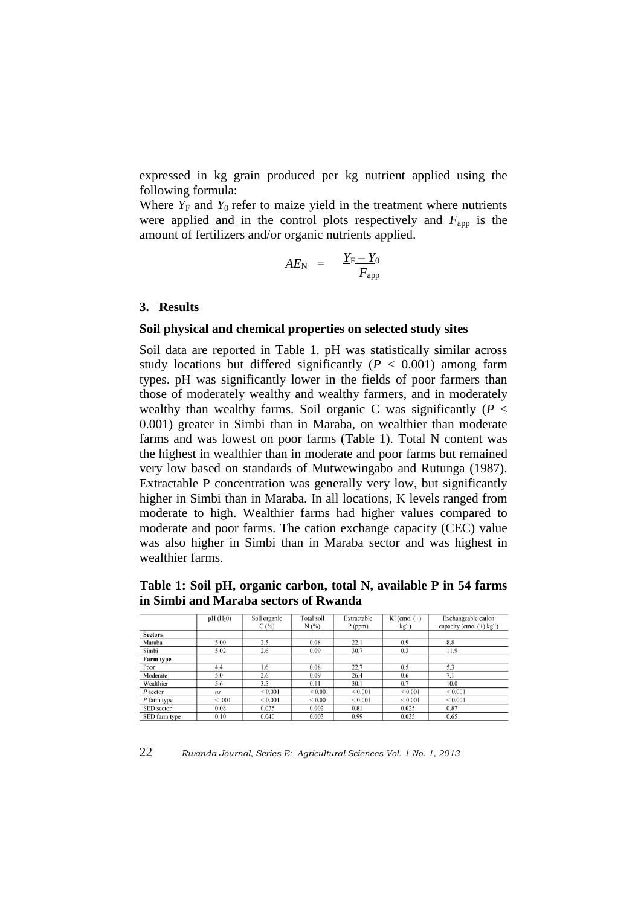expressed in kg grain produced per kg nutrient applied using the following formula:

Where  $Y_F$  and  $Y_0$  refer to maize yield in the treatment where nutrients were applied and in the control plots respectively and  $F_{\text{app}}$  is the amount of fertilizers and/or organic nutrients applied.

$$
AE_{\rm N} \;\; = \ \ \, \frac{Y_{\rm F} - Y_0}{F_{\rm app}}
$$

#### **3. Results**

#### **Soil physical and chemical properties on selected study sites**

Soil data are reported in Table 1. pH was statistically similar across study locations but differed significantly  $(P < 0.001)$  among farm types. pH was significantly lower in the fields of poor farmers than those of moderately wealthy and wealthy farmers, and in moderately wealthy than wealthy farms. Soil organic C was significantly  $(P \leq$ 0.001) greater in Simbi than in Maraba, on wealthier than moderate farms and was lowest on poor farms (Table 1). Total N content was the highest in wealthier than in moderate and poor farms but remained very low based on standards of Mutwewingabo and Rutunga (1987). Extractable P concentration was generally very low, but significantly higher in Simbi than in Maraba. In all locations, K levels ranged from moderate to high. Wealthier farms had higher values compared to moderate and poor farms. The cation exchange capacity (CEC) value was also higher in Simbi than in Maraba sector and was highest in wealthier farms.

**Table 1: Soil pH, organic carbon, total N, available P in 54 farms in Simbi and Maraba sectors of Rwanda**

|                | $pH(H_20)$     | Soil organic | Total soil  | Extractable | $K^+$ (cmol $(+)$ | Exchangeable cation                     |
|----------------|----------------|--------------|-------------|-------------|-------------------|-----------------------------------------|
|                |                | C(%)         | N(%)        | $P$ (ppm)   | $kg^{-1}$         | capacity (cmol $(+)$ kg <sup>-1</sup> ) |
| <b>Sectors</b> |                |              |             |             |                   |                                         |
| Maraba         | 5.00           | 2.5          | 0.08        | 22.1        | 0.9               | 8.8                                     |
| Simbi          | 5.02           | 2.6          | 0.09        | 30.7        | 0.3               | 11.9                                    |
| Farm type      |                |              |             |             |                   |                                         |
| Poor           | 4.4            | 1.6          | 0.08        | 22.7        | 0.5               | 5.3                                     |
| Moderate       | 5.0            | 2.6          | 0.09        | 26.4        | 0.6               | 7.1                                     |
| Wealthier      | 5.6            | 3.5          | 0.11        | 30.1        | 0.7               | 10.0                                    |
| $P$ sector     | n <sub>S</sub> | ${}_{0.001}$ | ${}< 0.001$ | ${}< 0.001$ | ${}_{0.001}$      | ${}< 0.001$                             |
| P farm type    | < 0.001        | ${}< 0.001$  | ${}< 0.001$ | ${}< 0.001$ | ${}< 0.001$       | ${}< 0.001$                             |
| SED sector     | 0.08           | 0.035        | 0.002       | 0.81        | 0.025             | 0.87                                    |
| SED farm type  | 0.10           | 0.040        | 0.003       | 0.99        | 0.035             | 0.65                                    |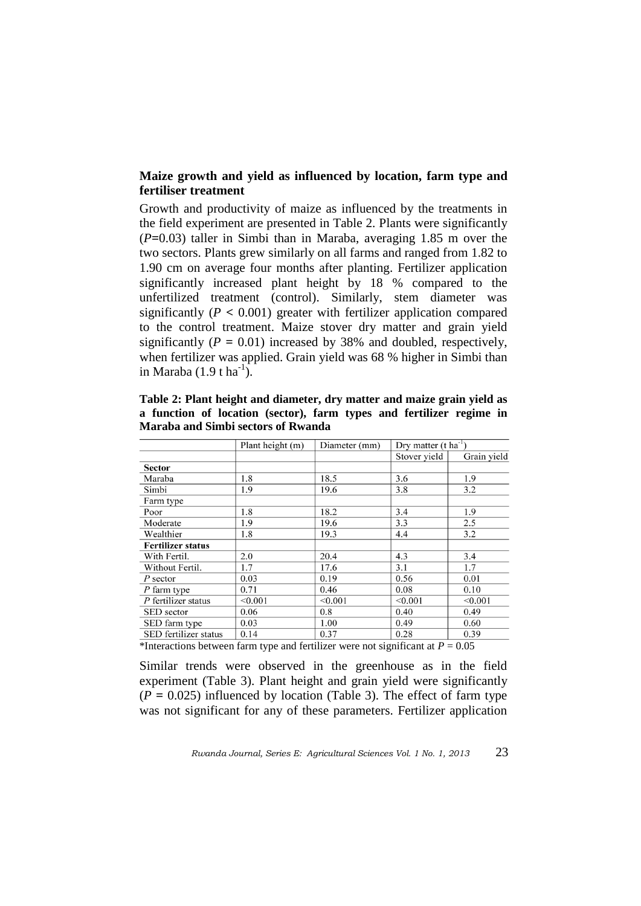# **Maize growth and yield as influenced by location, farm type and fertiliser treatment**

Growth and productivity of maize as influenced by the treatments in the field experiment are presented in Table 2. Plants were significantly (*P***=**0.03) taller in Simbi than in Maraba, averaging 1.85 m over the two sectors. Plants grew similarly on all farms and ranged from 1.82 to 1.90 cm on average four months after planting. Fertilizer application significantly increased plant height by 18 % compared to the unfertilized treatment (control). Similarly, stem diameter was significantly  $(P < 0.001)$  greater with fertilizer application compared to the control treatment. Maize stover dry matter and grain yield significantly  $(P = 0.01)$  increased by 38% and doubled, respectively, when fertilizer was applied. Grain yield was 68 % higher in Simbi than in Maraba  $(1.9 \text{ t ha}^{-1})$ .

**Table 2: Plant height and diameter, dry matter and maize grain yield as a function of location (sector), farm types and fertilizer regime in Maraba and Simbi sectors of Rwanda** 

|                                                                                                                                                                                                                                                                    | Plant height (m)                 | Diameter (mm)  | Dry matter $(t \text{ ha}^{-1})$                                 |             |
|--------------------------------------------------------------------------------------------------------------------------------------------------------------------------------------------------------------------------------------------------------------------|----------------------------------|----------------|------------------------------------------------------------------|-------------|
|                                                                                                                                                                                                                                                                    |                                  |                | Stover yield                                                     | Grain yield |
| <b>Sector</b>                                                                                                                                                                                                                                                      |                                  |                |                                                                  |             |
| Maraba                                                                                                                                                                                                                                                             | 1.8                              | 18.5           | 3.6                                                              | 1.9         |
| Simbi                                                                                                                                                                                                                                                              | 1.9                              | 19.6           | 3.8                                                              | 3.2         |
| Farm type                                                                                                                                                                                                                                                          |                                  |                |                                                                  |             |
| Poor                                                                                                                                                                                                                                                               | 1.8                              | 18.2           | 3.4                                                              | 1.9         |
| Moderate                                                                                                                                                                                                                                                           | 1.9                              | 19.6           | 3.3                                                              | 2.5         |
| Wealthier                                                                                                                                                                                                                                                          | 1.8                              | 19.3           | 4.4                                                              | 3.2         |
| <b>Fertilizer status</b>                                                                                                                                                                                                                                           |                                  |                |                                                                  |             |
| With Fertil.                                                                                                                                                                                                                                                       | 2.0                              | 20.4           | 4.3                                                              | 3.4         |
| Without Fertil.                                                                                                                                                                                                                                                    | 1.7                              | 17.6           | 3.1                                                              | 1.7         |
| P sector                                                                                                                                                                                                                                                           | 0.03                             | 0.19           | 0.56                                                             | 0.01        |
| P farm type                                                                                                                                                                                                                                                        | 0.71                             | 0.46           | 0.08                                                             | 0.10        |
| P fertilizer status                                                                                                                                                                                                                                                | < 0.001                          | < 0.001        | < 0.001                                                          | < 0.001     |
| SED sector                                                                                                                                                                                                                                                         | 0.06                             | 0.8            | 0.40                                                             | 0.49        |
| SED farm type                                                                                                                                                                                                                                                      | 0.03                             | 1.00           | 0.49                                                             | 0.60        |
| SED fertilizer status<br>$\mathbf{A} \cdot \mathbf{Y}$ and a set of the set of the set of the set of the set of the set of the set of the set of the set of the set of the set of the set of the set of the set of the set of the set of the set of the set of the | 0.14<br>1.0.11<br>$\mathbf{c}$ . | 0.37<br>$\sim$ | 0.28<br>$\sim$ $\sim$<br>$\cdots$ $\mathbb{R}$ $\wedge$ $\wedge$ | 0.39        |

\*Interactions between farm type and fertilizer were not significant at  $P = 0.05$ 

Similar trends were observed in the greenhouse as in the field experiment (Table 3). Plant height and grain yield were significantly  $(P = 0.025)$  influenced by location (Table 3). The effect of farm type was not significant for any of these parameters. Fertilizer application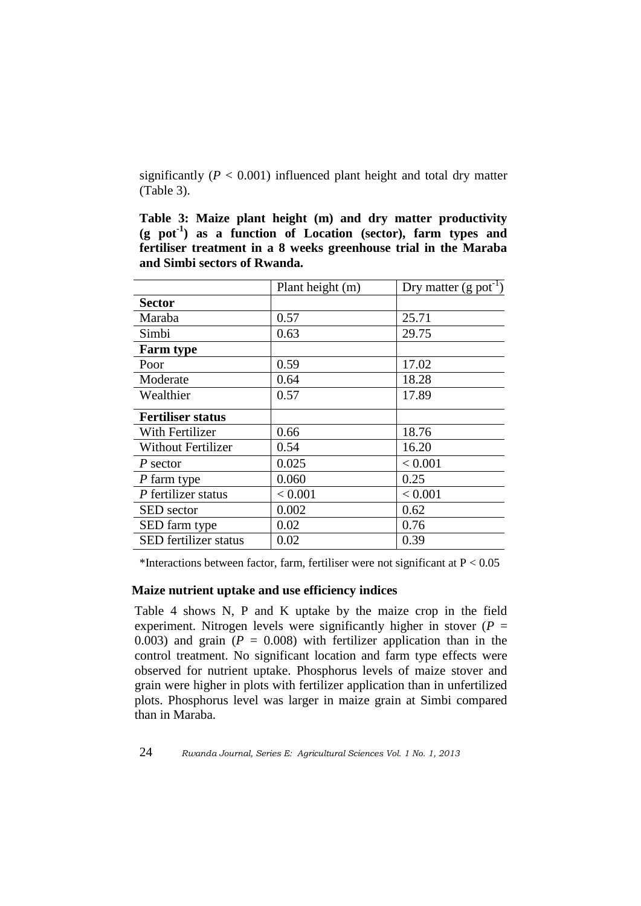significantly  $(P < 0.001)$  influenced plant height and total dry matter (Table 3).

**Table 3: Maize plant height (m) and dry matter productivity (g pot-1 ) as a function of Location (sector), farm types and fertiliser treatment in a 8 weeks greenhouse trial in the Maraba and Simbi sectors of Rwanda.** 

| Plant height (m) | Dry matter $(g$ pot <sup>-1</sup> ) |
|------------------|-------------------------------------|
|                  |                                     |
| 0.57             | 25.71                               |
| 0.63             | 29.75                               |
|                  |                                     |
| 0.59             | 17.02                               |
| 0.64             | 18.28                               |
| 0.57             | 17.89                               |
|                  |                                     |
| 0.66             | 18.76                               |
| 0.54             | 16.20                               |
| 0.025            | < 0.001                             |
| 0.060            | 0.25                                |
| < 0.001          | < 0.001                             |
| 0.002            | 0.62                                |
| 0.02             | 0.76                                |
| 0.02             | 0.39                                |
|                  |                                     |

\*Interactions between factor, farm, fertiliser were not significant at  $P < 0.05$ 

# **Maize nutrient uptake and use efficiency indices**

Table 4 shows N, P and K uptake by the maize crop in the field experiment. Nitrogen levels were significantly higher in stover ( $P =$ 0.003) and grain  $(P = 0.008)$  with fertilizer application than in the control treatment. No significant location and farm type effects were observed for nutrient uptake. Phosphorus levels of maize stover and grain were higher in plots with fertilizer application than in unfertilized plots. Phosphorus level was larger in maize grain at Simbi compared than in Maraba.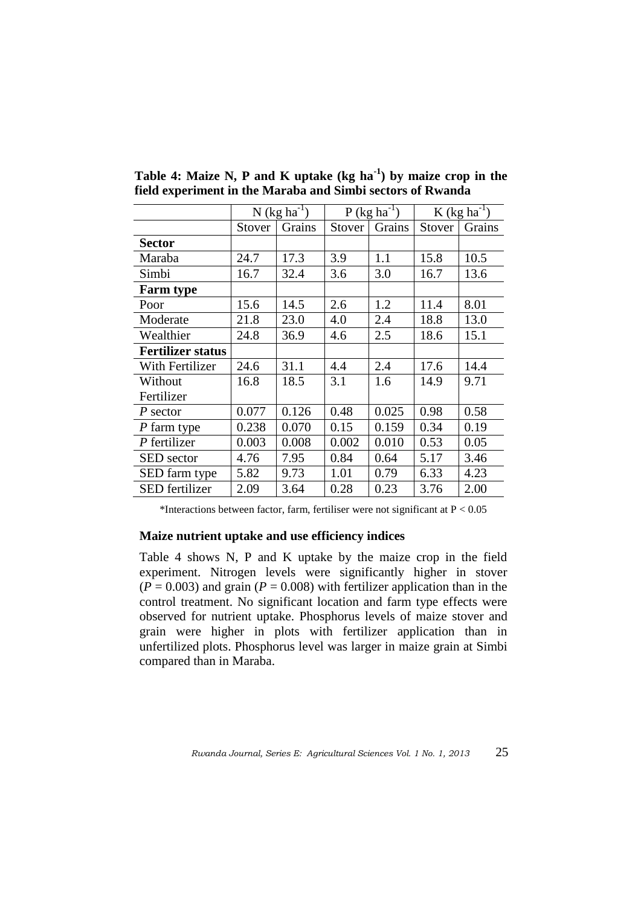|                          | $N$ (kg ha <sup>-1</sup> ) |        | $P$ (kg ha <sup>-1</sup> ) |        | $K$ (kg ha <sup>-1</sup> ) |        |
|--------------------------|----------------------------|--------|----------------------------|--------|----------------------------|--------|
|                          | Stover                     | Grains | Stover                     | Grains | Stover                     | Grains |
| <b>Sector</b>            |                            |        |                            |        |                            |        |
| Maraba                   | 24.7                       | 17.3   | 3.9                        | 1.1    | 15.8                       | 10.5   |
| Simbi                    | 16.7                       | 32.4   | 3.6                        | 3.0    | 16.7                       | 13.6   |
| <b>Farm type</b>         |                            |        |                            |        |                            |        |
| Poor                     | 15.6                       | 14.5   | 2.6                        | 1.2    | 11.4                       | 8.01   |
| Moderate                 | 21.8                       | 23.0   | 4.0                        | 2.4    | 18.8                       | 13.0   |
| Wealthier                | 24.8                       | 36.9   | 4.6                        | 2.5    | 18.6                       | 15.1   |
| <b>Fertilizer status</b> |                            |        |                            |        |                            |        |
| With Fertilizer          | 24.6                       | 31.1   | 4.4                        | 2.4    | 17.6                       | 14.4   |
| Without                  | 16.8                       | 18.5   | 3.1                        | 1.6    | 14.9                       | 9.71   |
| Fertilizer               |                            |        |                            |        |                            |        |
| $P$ sector               | 0.077                      | 0.126  | 0.48                       | 0.025  | 0.98                       | 0.58   |
| P farm type              | 0.238                      | 0.070  | 0.15                       | 0.159  | 0.34                       | 0.19   |
| $P$ fertilizer           | 0.003                      | 0.008  | 0.002                      | 0.010  | 0.53                       | 0.05   |
| <b>SED</b> sector        | 4.76                       | 7.95   | 0.84                       | 0.64   | 5.17                       | 3.46   |
| SED farm type            | 5.82                       | 9.73   | 1.01                       | 0.79   | 6.33                       | 4.23   |
| <b>SED</b> fertilizer    | 2.09                       | 3.64   | 0.28                       | 0.23   | 3.76                       | 2.00   |

**Table 4: Maize N, P and K uptake (kg ha-1 ) by maize crop in the field experiment in the Maraba and Simbi sectors of Rwanda** 

\*Interactions between factor, farm, fertiliser were not significant at  $P < 0.05$ 

### **Maize nutrient uptake and use efficiency indices**

Table 4 shows N, P and K uptake by the maize crop in the field experiment. Nitrogen levels were significantly higher in stover  $(P = 0.003)$  and grain  $(P = 0.008)$  with fertilizer application than in the control treatment. No significant location and farm type effects were observed for nutrient uptake. Phosphorus levels of maize stover and grain were higher in plots with fertilizer application than in unfertilized plots. Phosphorus level was larger in maize grain at Simbi compared than in Maraba.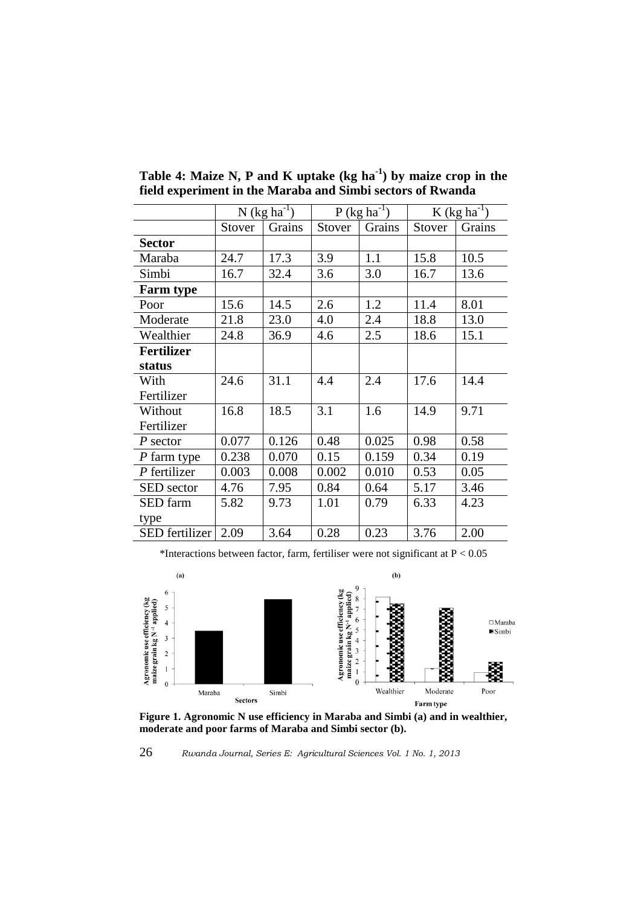|                   | N (kg $ha^{-1}$ ) |        | $P$ (kg ha <sup>-1</sup> ) |        | K (kg ha <sup>-1</sup> ) |        |
|-------------------|-------------------|--------|----------------------------|--------|--------------------------|--------|
|                   | Stover            | Grains | Stover                     | Grains | Stover                   | Grains |
| <b>Sector</b>     |                   |        |                            |        |                          |        |
| Maraba            | 24.7              | 17.3   | 3.9                        | 1.1    | 15.8                     | 10.5   |
| Simbi             | 16.7              | 32.4   | 3.6                        | 3.0    | 16.7                     | 13.6   |
| <b>Farm type</b>  |                   |        |                            |        |                          |        |
| Poor              | 15.6              | 14.5   | 2.6                        | 1.2    | 11.4                     | 8.01   |
| Moderate          | 21.8              | 23.0   | 4.0                        | 2.4    | 18.8                     | 13.0   |
| Wealthier         | 24.8              | 36.9   | 4.6                        | 2.5    | 18.6                     | 15.1   |
| <b>Fertilizer</b> |                   |        |                            |        |                          |        |
| status            |                   |        |                            |        |                          |        |
| With              | 24.6              | 31.1   | 4.4                        | 2.4    | 17.6                     | 14.4   |
| Fertilizer        |                   |        |                            |        |                          |        |
| Without           | 16.8              | 18.5   | 3.1                        | 1.6    | 14.9                     | 9.71   |
| Fertilizer        |                   |        |                            |        |                          |        |
| $P$ sector        | 0.077             | 0.126  | 0.48                       | 0.025  | 0.98                     | 0.58   |
| P farm type       | 0.238             | 0.070  | 0.15                       | 0.159  | 0.34                     | 0.19   |
| $P$ fertilizer    | 0.003             | 0.008  | 0.002                      | 0.010  | 0.53                     | 0.05   |
| <b>SED</b> sector | 4.76              | 7.95   | 0.84                       | 0.64   | 5.17                     | 3.46   |
| SED farm          | 5.82              | 9.73   | 1.01                       | 0.79   | 6.33                     | 4.23   |
| type              |                   |        |                            |        |                          |        |
| SED fertilizer    | 2.09              | 3.64   | 0.28                       | 0.23   | 3.76                     | 2.00   |

**Table 4: Maize N, P and K uptake (kg ha-1 ) by maize crop in the field experiment in the Maraba and Simbi sectors of Rwanda** 

\*Interactions between factor, farm, fertiliser were not significant at  $P < 0.05$ 



**Figure 1. Agronomic N use efficiency in Maraba and Simbi (a) and in wealthier, moderate and poor farms of Maraba and Simbi sector (b).** 

26 *Rwanda Journal, Series E: Agricultural Sciences Vol. 1 No. 1, 2013*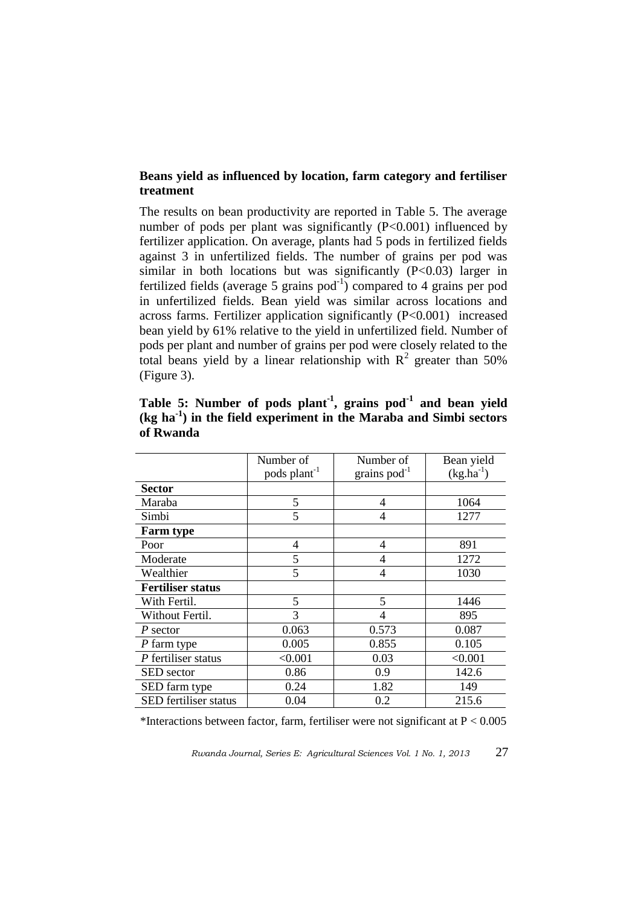# **Beans yield as influenced by location, farm category and fertiliser treatment**

The results on bean productivity are reported in Table 5. The average number of pods per plant was significantly (P<0.001) influenced by fertilizer application. On average, plants had 5 pods in fertilized fields against 3 in unfertilized fields. The number of grains per pod was similar in both locations but was significantly  $(P<0.03)$  larger in fertilized fields (average 5 grains  $pod^{-1}$ ) compared to 4 grains per pod in unfertilized fields. Bean yield was similar across locations and across farms. Fertilizer application significantly (P<0.001) increased bean yield by 61% relative to the yield in unfertilized field. Number of pods per plant and number of grains per pod were closely related to the total beans yield by a linear relationship with  $R^2$  greater than 50% (Figure 3).

|                          | Number of                | Number of         | Bean yield     |
|--------------------------|--------------------------|-------------------|----------------|
|                          | pods plant <sup>-1</sup> | grains $pod^{-1}$ | $(kg.ha^{-1})$ |
| <b>Sector</b>            |                          |                   |                |
| Maraba                   | 5                        | 4                 | 1064           |
| Simbi                    | 5                        | 4                 | 1277           |
| <b>Farm type</b>         |                          |                   |                |
| Poor                     | 4                        | 4                 | 891            |
| Moderate                 | 5                        | 4                 | 1272           |
| Wealthier                | 5                        | 4                 | 1030           |
| <b>Fertiliser status</b> |                          |                   |                |
| With Fertil.             | 5                        | 5                 | 1446           |
| Without Fertil.          | 3                        | 4                 | 895            |
| P sector                 | 0.063                    | 0.573             | 0.087          |
| P farm type              | 0.005                    | 0.855             | 0.105          |
| P fertiliser status      | < 0.001                  | 0.03              | < 0.001        |
| SED sector               | 0.86                     | 0.9               | 142.6          |
| SED farm type            | 0.24                     | 1.82              | 149            |
| SED fertiliser status    | 0.04                     | 0.2               | 215.6          |

**Table 5: Number of pods plant-1 , grains pod-1 and bean yield (kg ha-1 ) in the field experiment in the Maraba and Simbi sectors of Rwanda** 

\*Interactions between factor, farm, fertiliser were not significant at  $P < 0.005$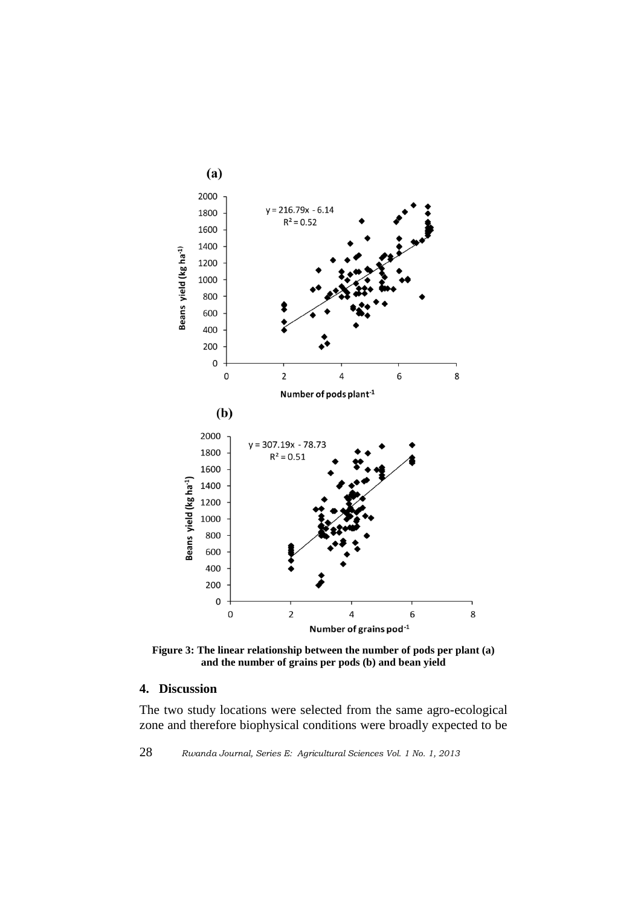

**Figure 3: The linear relationship between the number of pods per plant (a) and the number of grains per pods (b) and bean yield**

### **4. Discussion**

The two study locations were selected from the same agro-ecological zone and therefore biophysical conditions were broadly expected to be

28 *Rwanda Journal, Series E: Agricultural Sciences Vol. 1 No. 1, 2013*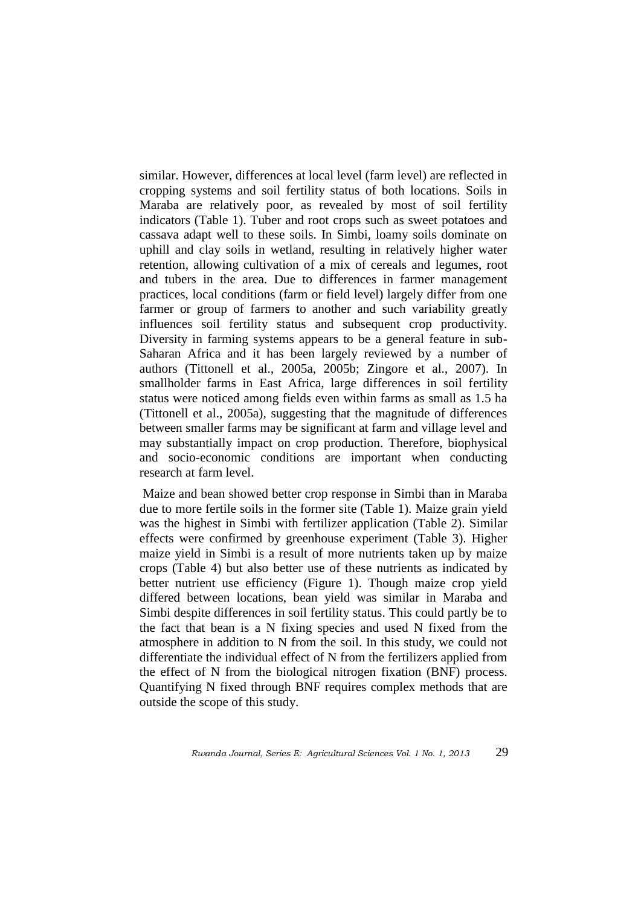similar. However, differences at local level (farm level) are reflected in cropping systems and soil fertility status of both locations. Soils in Maraba are relatively poor, as revealed by most of soil fertility indicators (Table 1). Tuber and root crops such as sweet potatoes and cassava adapt well to these soils. In Simbi, loamy soils dominate on uphill and clay soils in wetland, resulting in relatively higher water retention, allowing cultivation of a mix of cereals and legumes, root and tubers in the area. Due to differences in farmer management practices, local conditions (farm or field level) largely differ from one farmer or group of farmers to another and such variability greatly influences soil fertility status and subsequent crop productivity. Diversity in farming systems appears to be a general feature in sub-Saharan Africa and it has been largely reviewed by a number of authors (Tittonell et al., 2005a, 2005b; Zingore et al., 2007). In smallholder farms in East Africa, large differences in soil fertility status were noticed among fields even within farms as small as 1.5 ha (Tittonell et al., 2005a), suggesting that the magnitude of differences between smaller farms may be significant at farm and village level and may substantially impact on crop production. Therefore, biophysical and socio-economic conditions are important when conducting research at farm level.

Maize and bean showed better crop response in Simbi than in Maraba due to more fertile soils in the former site (Table 1). Maize grain yield was the highest in Simbi with fertilizer application (Table 2). Similar effects were confirmed by greenhouse experiment (Table 3). Higher maize yield in Simbi is a result of more nutrients taken up by maize crops (Table 4) but also better use of these nutrients as indicated by better nutrient use efficiency (Figure 1). Though maize crop yield differed between locations, bean yield was similar in Maraba and Simbi despite differences in soil fertility status. This could partly be to the fact that bean is a N fixing species and used N fixed from the atmosphere in addition to N from the soil. In this study, we could not differentiate the individual effect of N from the fertilizers applied from the effect of N from the biological nitrogen fixation (BNF) process. Quantifying N fixed through BNF requires complex methods that are outside the scope of this study.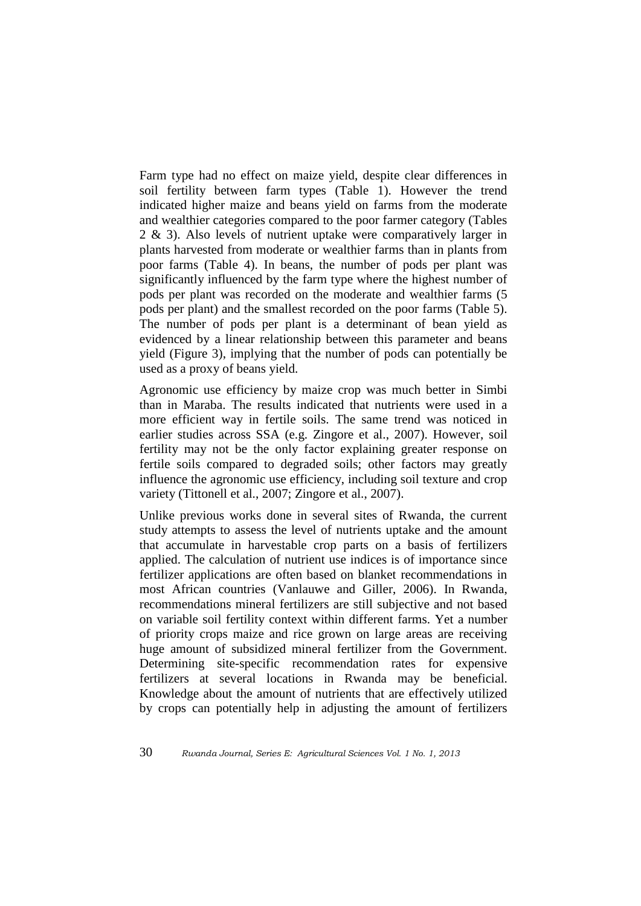Farm type had no effect on maize yield, despite clear differences in soil fertility between farm types (Table 1). However the trend indicated higher maize and beans yield on farms from the moderate and wealthier categories compared to the poor farmer category (Tables 2 & 3). Also levels of nutrient uptake were comparatively larger in plants harvested from moderate or wealthier farms than in plants from poor farms (Table 4). In beans, the number of pods per plant was significantly influenced by the farm type where the highest number of pods per plant was recorded on the moderate and wealthier farms (5 pods per plant) and the smallest recorded on the poor farms (Table 5). The number of pods per plant is a determinant of bean yield as evidenced by a linear relationship between this parameter and beans yield (Figure 3), implying that the number of pods can potentially be used as a proxy of beans yield.

Agronomic use efficiency by maize crop was much better in Simbi than in Maraba. The results indicated that nutrients were used in a more efficient way in fertile soils. The same trend was noticed in earlier studies across SSA (e.g. Zingore et al., 2007). However, soil fertility may not be the only factor explaining greater response on fertile soils compared to degraded soils; other factors may greatly influence the agronomic use efficiency, including soil texture and crop variety (Tittonell et al., 2007; Zingore et al., 2007).

Unlike previous works done in several sites of Rwanda, the current study attempts to assess the level of nutrients uptake and the amount that accumulate in harvestable crop parts on a basis of fertilizers applied. The calculation of nutrient use indices is of importance since fertilizer applications are often based on blanket recommendations in most African countries (Vanlauwe and Giller, 2006). In Rwanda, recommendations mineral fertilizers are still subjective and not based on variable soil fertility context within different farms. Yet a number of priority crops maize and rice grown on large areas are receiving huge amount of subsidized mineral fertilizer from the Government. Determining site-specific recommendation rates for expensive fertilizers at several locations in Rwanda may be beneficial. Knowledge about the amount of nutrients that are effectively utilized by crops can potentially help in adjusting the amount of fertilizers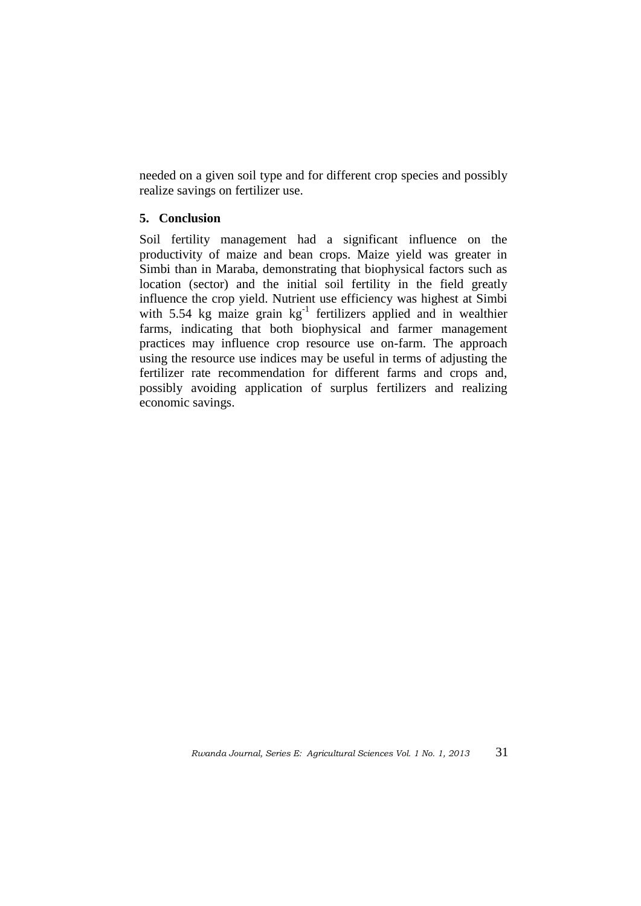needed on a given soil type and for different crop species and possibly realize savings on fertilizer use.

# **5. Conclusion**

Soil fertility management had a significant influence on the productivity of maize and bean crops. Maize yield was greater in Simbi than in Maraba, demonstrating that biophysical factors such as location (sector) and the initial soil fertility in the field greatly influence the crop yield. Nutrient use efficiency was highest at Simbi with 5.54 kg maize grain  $kg^{-1}$  fertilizers applied and in wealthier farms, indicating that both biophysical and farmer management practices may influence crop resource use on-farm. The approach using the resource use indices may be useful in terms of adjusting the fertilizer rate recommendation for different farms and crops and, possibly avoiding application of surplus fertilizers and realizing economic savings.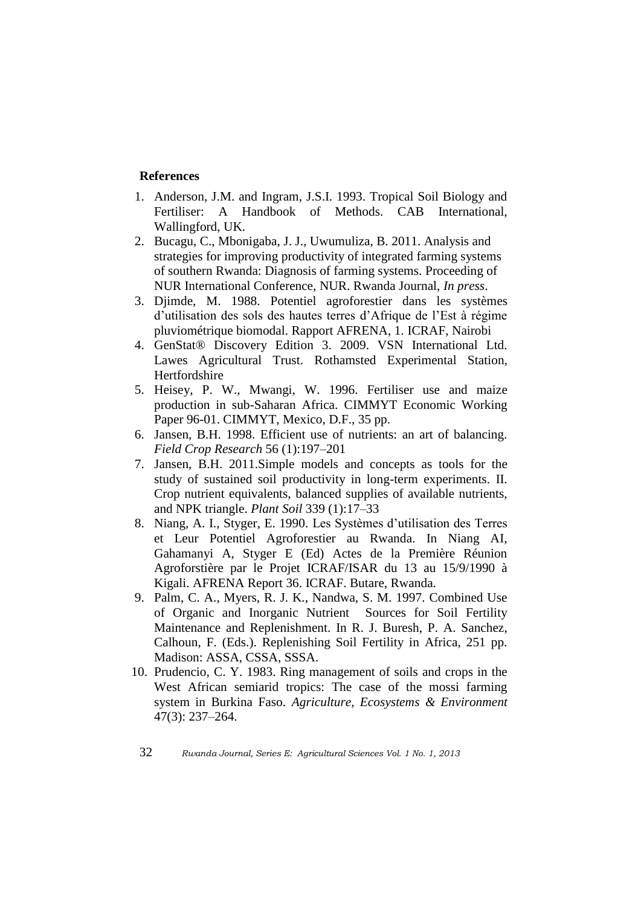### **References**

- 1. Anderson, J.M. and Ingram, J.S.I. 1993. Tropical Soil Biology and Fertiliser: A Handbook of Methods. CAB International, Wallingford, UK.
- 2. Bucagu, C., Mbonigaba, J. J., Uwumuliza, B. 2011. Analysis and strategies for improving productivity of integrated farming systems of southern Rwanda: Diagnosis of farming systems. Proceeding of NUR International Conference, NUR. Rwanda Journal, *In press*.
- 3. Djimde, M. 1988. Potentiel agroforestier dans les systèmes d"utilisation des sols des hautes terres d"Afrique de l"Est à régime pluviométrique biomodal. Rapport AFRENA, 1. ICRAF, Nairobi
- 4. GenStat® Discovery Edition 3. 2009. VSN International Ltd. Lawes Agricultural Trust. Rothamsted Experimental Station, Hertfordshire
- 5. Heisey, P. W., Mwangi, W. 1996. Fertiliser use and maize production in sub-Saharan Africa. CIMMYT Economic Working Paper 96-01. CIMMYT, Mexico, D.F., 35 pp.
- 6. Jansen, B.H. 1998. Efficient use of nutrients: an art of balancing. *Field Crop Research* 56 (1):197–201
- 7. Jansen, B.H. 2011.Simple models and concepts as tools for the study of sustained soil productivity in long-term experiments. II. Crop nutrient equivalents, balanced supplies of available nutrients, and NPK triangle. *Plant Soil* 339 (1):17–33
- 8. Niang, A. I., Styger, E. 1990. Les Systèmes d"utilisation des Terres et Leur Potentiel Agroforestier au Rwanda. In Niang AI, Gahamanyi A, Styger E (Ed) Actes de la Première Réunion Agroforstière par le Projet ICRAF/ISAR du 13 au 15/9/1990 à Kigali. AFRENA Report 36. ICRAF. Butare, Rwanda.
- 9. Palm, C. A., Myers, R. J. K., Nandwa, S. M. 1997. Combined Use of Organic and Inorganic Nutrient Sources for Soil Fertility Maintenance and Replenishment. In R. J. Buresh, P. A. Sanchez, Calhoun, F. (Eds.). Replenishing Soil Fertility in Africa, 251 pp. Madison: ASSA, CSSA, SSSA.
- 10. Prudencio, C. Y. 1983. Ring management of soils and crops in the West African semiarid tropics: The case of the mossi farming system in Burkina Faso. *Agriculture, Ecosystems & Environment* 47(3): 237–264.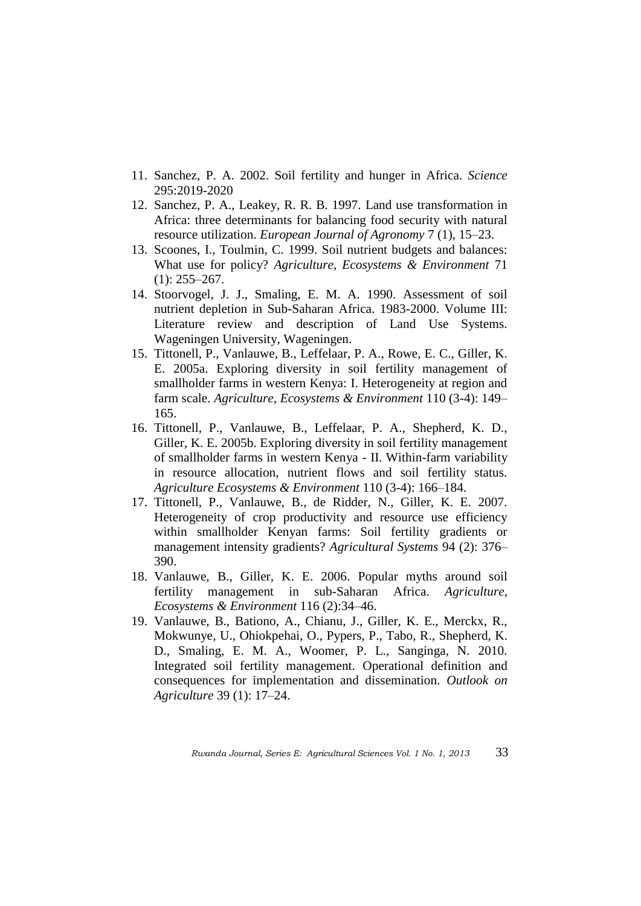- 11. Sanchez, P. A. 2002. Soil fertility and hunger in Africa. *Science* 295:2019-2020
- 12. Sanchez, P. A., Leakey, R. R. B. 1997. Land use transformation in Africa: three determinants for balancing food security with natural resource utilization. *European Journal of Agronomy* 7 (1), 15–23.
- 13. Scoones, I., Toulmin, C. 1999. Soil nutrient budgets and balances: What use for policy? *Agriculture, Ecosystems & Environment* 71  $(1)$ : 255–267.
- 14. Stoorvogel, J. J., Smaling, E. M. A. 1990. Assessment of soil nutrient depletion in Sub-Saharan Africa. 1983-2000. Volume III: Literature review and description of Land Use Systems. Wageningen University, Wageningen.
- 15. Tittonell, P., Vanlauwe, B., Leffelaar, P. A., Rowe, E. C., Giller, K. E. 2005a. Exploring diversity in soil fertility management of smallholder farms in western Kenya: I. Heterogeneity at region and farm scale. *Agriculture, Ecosystems & Environment* 110 (3-4): 149– 165.
- 16. Tittonell, P., Vanlauwe, B., Leffelaar, P. A., Shepherd, K. D., Giller, K. E. 2005b. Exploring diversity in soil fertility management of smallholder farms in western Kenya - II. Within-farm variability in resource allocation, nutrient flows and soil fertility status. *Agriculture Ecosystems & Environment* 110 (3-4): 166–184.
- 17. Tittonell, P., Vanlauwe, B., de Ridder, N., Giller, K. E. 2007. Heterogeneity of crop productivity and resource use efficiency within smallholder Kenyan farms: Soil fertility gradients or management intensity gradients? *Agricultural Systems* 94 (2): 376– 390.
- 18. Vanlauwe, B., Giller, K. E. 2006. Popular myths around soil fertility management in sub-Saharan Africa. *Agriculture, Ecosystems & Environment* 116 (2):34–46.
- 19. Vanlauwe, B., Bationo, A., Chianu, J., Giller, K. E., Merckx, R., Mokwunye, U., Ohiokpehai, O., Pypers, P., Tabo, R., Shepherd, K. D., Smaling, E. M. A., Woomer, P. L., Sanginga, N. 2010. Integrated soil fertility management. Operational definition and consequences for implementation and dissemination. *Outlook on Agriculture* 39 (1): 17–24.